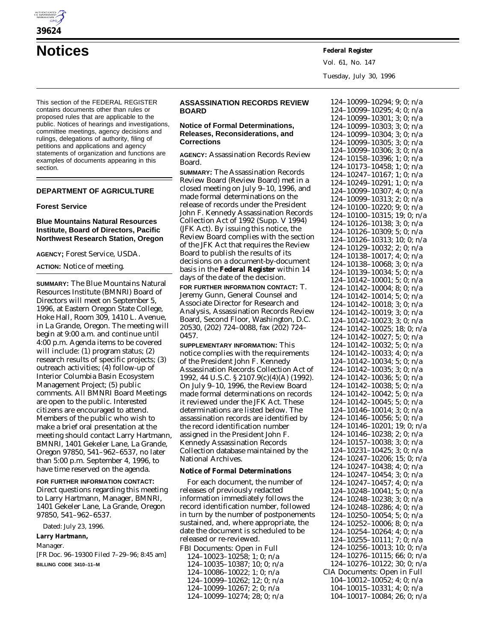

**Notices Federal Register**

Vol. 61, No. 147 Tuesday, July 30, 1996

This section of the FEDERAL REGISTER contains documents other than rules or proposed rules that are applicable to the public. Notices of hearings and investigations, committee meetings, agency decisions and rulings, delegations of authority, filing of petitions and applications and agency statements of organization and functions are examples of documents appearing in this section.

## **DEPARTMENT OF AGRICULTURE**

## **Forest Service**

## **Blue Mountains Natural Resources Institute, Board of Directors, Pacific Northwest Research Station, Oregon**

**AGENCY;** Forest Service, USDA.

## **ACTION:** Notice of meeting.

**SUMMARY:** The Blue Mountains Natural Resources Institute (BMNRI) Board of Directors will meet on September 5, 1996, at Eastern Oregon State College, Hoke Hall, Room 309, 1410 L. Avenue, in La Grande, Oregon. The meeting will begin at 9:00 a.m. and continue until 4:00 p.m. Agenda items to be covered will include: (1) program status; (2) research results of specific projects; (3) outreach activities; (4) follow-up of Interior Columbia Basin Ecosystem Management Project; (5) public comments. All BMNRI Board Meetings are open to the public. Interested citizens are encouraged to attend. Members of the public who wish to make a brief oral presentation at the meeting should contact Larry Hartmann, BMNRI, 1401 Gekeler Lane, La Grande, Oregon 97850, 541–962–6537, no later than 5:00 p.m. September 4, 1996, to have time reserved on the agenda.

# **FOR FURTHER INFORMATION CONTACT:** Direct questions regarding this meeting

to Larry Hartmann, Manager, BMNRI, 1401 Gekeler Lane, La Grande, Oregon 97850, 541–962–6537.

Dated: July 23, 1996.

**Larry Hartmann,**

*Manager.*

[FR Doc. 96–19300 Filed 7–29–96; 8:45 am] **BILLING CODE 3410–11–M**

# **ASSASSINATION RECORDS REVIEW BOARD**

## **Notice of Formal Determinations, Releases, Reconsiderations, and Corrections**

**AGENCY:** Assassination Records Review Board.

**SUMMARY:** The Assassination Records Review Board (Review Board) met in a closed meeting on July 9–10, 1996, and made formal determinations on the release of records under the President John F. Kennedy Assassination Records Collection Act of 1992 (Supp. V 1994) (JFK Act). By issuing this notice, the Review Board complies with the section of the JFK Act that requires the Review Board to publish the results of its decisions on a document-by-document basis in the **Federal Register** within 14 days of the date of the decision.

**FOR FURTHER INFORMATION CONTACT:** T. Jeremy Gunn, General Counsel and Associate Director for Research and Analysis, Assassination Records Review Board, Second Floor, Washington, D.C. 20530, (202) 724–0088, fax (202) 724– 0457.

**SUPPLEMENTARY INFORMATION:** This notice complies with the requirements of the President John F. Kennedy Assassination Records Collection Act of 1992, 44 U.S.C. § 2107.9(c)(4)(A) (1992). On July 9–10, 1996, the Review Board made formal determinations on records it reviewed under the JFK Act. These determinations are listed below. The assassination records are identified by the record identification number assigned in the President John F. Kennedy Assassination Records Collection database maintained by the National Archives.

## **Notice of Formal Determinations**

For each document, the number of releases of previously redacted information immediately follows the record identification number, followed in turn by the number of postponements sustained, and, where appropriate, the date the document is scheduled to be released or re-reviewed.

FBI Documents: Open in Full 124–10023–10258; 1; 0; n/a 124–10035–10387; 10; 0; n/a 124–10086–10022; 1; 0; n/a 124–10099–10262; 12; 0; n/a 124–10099–10267; 2; 0; n/a 124–10099–10274; 28; 0; n/a

124–10099–10294; 9; 0; n/a 124–10099–10295; 4; 0; n/a 124–10099–10301; 3; 0; n/a 124–10099–10303; 3; 0; n/a 124–10099–10304; 3; 0; n/a 124–10099–10305; 3; 0; n/a 124–10099–10306; 3; 0; n/a 124–10158–10396; 1; 0; n/a 124–10173–10458; 1; 0; n/a 124–10247–10167; 1; 0; n/a 124–10249–10291; 1; 0; n/a 124–10099–10307; 4; 0; n/a 124–10099–10313; 2; 0; n/a 124–10100–10220; 9; 0; n/a 124–10100–10315; 19; 0; n/a 124–10126–10138; 3; 0; n/a 124–10126–10309; 5; 0; n/a 124–10126–10313; 10; 0; n/a 124–10129–10032; 2; 0; n/a 124–10138–10017; 4; 0; n/a 124–10138–10068; 3; 0; n/a 124–10139–10034; 5; 0; n/a 124–10142–10001; 5; 0; n/a 124–10142–10004; 8; 0; n/a 124–10142–10014; 5; 0; n/a 124–10142–10018; 3; 0; n/a 124–10142–10019; 3; 0; n/a 124–10142–10023; 3; 0; n/a 124–10142–10025; 18; 0; n/a 124–10142–10027; 5; 0; n/a 124–10142–10032; 5; 0; n/a 124–10142–10033; 4; 0; n/a 124–10142–10034; 5; 0; n/a 124–10142–10035; 3; 0; n/a 124–10142–10036; 5; 0; n/a 124–10142–10038; 5; 0; n/a 124–10142–10042; 5; 0; n/a 124–10142–10045; 5; 0; n/a 124–10146–10014; 3; 0; n/a 124–10146–10056; 5; 0; n/a 124–10146–10201; 19; 0; n/a 124–10146–10238; 2; 0; n/a 124–10157–10038; 3; 0; n/a 124–10231–10425; 3; 0; n/a 124–10247–10206; 15; 0; n/a 124–10247–10438; 4; 0; n/a 124–10247–10454; 3; 0; n/a 124–10247–10457; 4; 0; n/a 124–10248–10041; 5; 0; n/a 124–10248–10238; 3; 0; n/a 124–10248–10286; 4; 0; n/a 124–10250–10054; 5; 0; n/a 124–10252–10006; 8; 0; n/a 124–10254–10264; 4; 0; n/a 124–10255–10111; 7; 0; n/a 124–10256–10013; 10; 0; n/a 124–10276–10115; 66; 0; n/a 124–10276–10122; 30; 0; n/a CIA Documents: Open in Full 104–10012–10052; 4; 0; n/a 104–10015–10331; 4; 0; n/a 104–10017–10084; 26; 0; n/a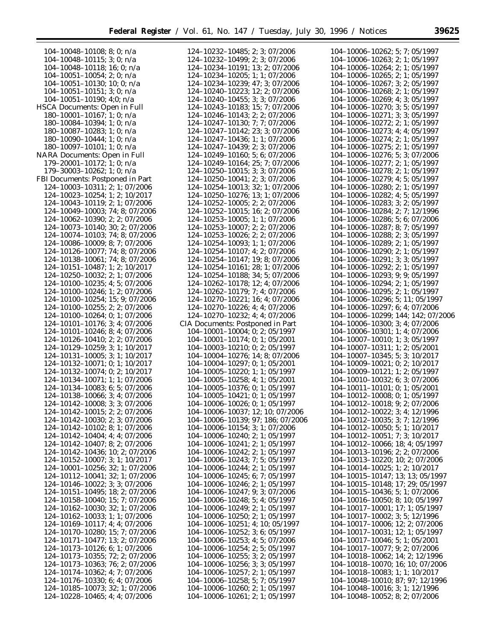| $104-10048-10108$ ; 8; 0; n/a         | 124-10232-10485; 2; 3; 07/2006        | 104-10006-10262; 5; 7; 05/1997        |
|---------------------------------------|---------------------------------------|---------------------------------------|
| $104-10048-10115$ ; 3; 0; n/a         | 124-10232-10499; 2; 3; 07/2006        | 104-10006-10263; 2; 1; 05/1997        |
|                                       |                                       |                                       |
| $104-10048-10118$ ; 16; 0; n/a        | 124-10234-10191; 13; 2; 07/2006       | 104-10006-10264; 2; 1; 05/1997        |
| $104-10051-10054$ ; 2; 0; n/a         | 124-10234-10205; 1; 1; 07/2006        | $104-10006-10265$ ; 2; 1; 05/1997     |
| $104-10051-10130$ ; 10; 0; n/a        | 124-10234-10239; 47; 3; 07/2006       | 104-10006-10267; 3; 2; 05/1997        |
| $104-10051-10151$ ; 3; 0; n/a         | 124-10240-10223; 12; 2; 07/2006       | $104-10006-10268; 2; 1; 05/1997$      |
|                                       |                                       |                                       |
| $104-10051-10190; 4;0; n/a$           | 124-10240-10455; 3; 3; 07/2006        | 104-10006-10269; 4; 3; 05/1997        |
| HSCA Documents: Open in Full          | 124-10243-10183; 15; 7; 07/2006       | $104-10006-10270$ ; 3; 5; 05/1997     |
| $180-10001-10167$ ; 1; 0; n/a         | 124-10246-10143; 2; 2; 07/2006        | $104-10006-10271$ ; 3; 3; 05/1997     |
| $180-10084-10394$ ; 1; 0; n/a         | 124-10247-10130; 7; 7; 07/2006        | $104-10006-10272$ ; 2; 1; 05/1997     |
|                                       |                                       |                                       |
| 180-10087-10283; 1; 0; $n/a$          | 124-10247-10142; 23; 3; 07/2006       | $104-10006-10273$ ; 4; 4; 05/1997     |
| 180-10090-10444; 1; 0; $n/a$          | 124-10247-10436; 1; 1; 07/2006        | 104-10006-10274; 2; 1; 05/1997        |
| $180-10097-10101$ ; 1; 0; n/a         | 124-10247-10439; 2; 3; 07/2006        | $104-10006-10275; 2; 1; 05/1997$      |
| NARA Documents: Open in Full          | 124-10249-10160; 5; 6; 07/2006        | 104-10006-10276; 5; 3; 07/2006        |
|                                       |                                       |                                       |
| $179 - 20001 - 10172$ ; 1; 0; n/a     | 124-10249-10164; 25; 7; 07/2006       | $104-10006-10277$ ; 2; 1; 05/1997     |
| $179 - 30003 - 10262$ ; 1; 0; n/a     | $124 - 10250 - 10015$ ; 3; 3; 07/2006 | $104-10006-10278; 2; 1; 05/1997$      |
| FBI Documents: Postponed in Part      | 124-10250-10041; 2; 3; 07/2006        | 104-10006-10279; 4; 5; 05/1997        |
| 124-10003-10311; 2; 1; 07/2006        | 124-10254-10013; 32; 1; 07/2006       | $104-10006-10280$ ; 2; 1; 05/1997     |
|                                       |                                       | 104-10006-10282; 4; 5; 05/1997        |
| 124-10023-10254; 1; 2; 10/2017        | 124-10250-10276; 13; 1; 07/2006       |                                       |
| 124-10043-10119; 2; 1; 07/2006        | 124-10252-10005; 2; 2; 07/2006        | 104-10006-10283; 3; 2; 05/1997        |
| 124-10049-10003; 74; 8; 07/2006       | 124-10252-10015; 16; 2; 07/2006       | 104-10006-10284; 2; 7; 12/1996        |
| 124-10062-10390; 2; 2; 07/2006        | 124-10253-10005; 1; 1; 07/2006        | 104-10006-10286; 5; 6; 07/2006        |
| 124-10073-10140; 30; 2; 07/2006       | 124-10253-10007; 2; 2; 07/2006        | 104-10006-10287; 8; 7; 05/1997        |
|                                       |                                       |                                       |
| 124-10074-10103; 74; 8; 07/2006       | 124-10253-10026; 2; 2; 07/2006        | 104-10006-10288; 2; 3; 05/1997        |
| 124-10086-10009; 8; 7; 07/2006        | $124 - 10254 - 10093$ ; 1; 1; 07/2006 | 104-10006-10289; 2; 1; 05/1997        |
| 124-10126-10077; 74; 8; 07/2006       | 124-10254-10107; 4; 2; 07/2006        | $104-10006-10290; 2; 1; 05/1997$      |
| 124-10138-10061; 74; 8; 07/2006       | 124-10254-10147; 19; 8; 07/2006       | 104-10006-10291; 3; 3; 05/1997        |
|                                       |                                       |                                       |
| 124-10151-10487; 1; 2; 10/2017        | 124-10254-10161; 28; 1; 07/2006       | $104-10006-10292; 2; 1; 05/1997$      |
| 124-10250-10032; 2; 1; 07/2006        | 124-10254-10188; 34; 5; 07/2006       | $104 - 10006 - 10293$ ; 9; 9; 05/1997 |
| 124-10100-10235; 4; 5; 07/2006        | 124-10262-10178; 12; 4; 07/2006       | 104-10006-10294; 2; 1; 05/1997        |
| 124-10100-10246; 1; 2; 07/2006        | 124-10262-10179; 7; 4; 07/2006        | $104-10006-10295; 2; 1; 05/1997$      |
| 124-10100-10254; 15; 9; 07/2006       | 124-10270-10221; 16; 4; 07/2006       | 104-10006-10296; 5; 11; 05/1997       |
|                                       |                                       |                                       |
| 124-10100-10255; 2; 2; 07/2006        | 124-10270-10226; 4; 4; 07/2006        | 104-10006-10297; 6; 4; 07/2006        |
| 124-10100-10264; 0; 1; 07/2006        | 124-10270-10232; 4; 4; 07/2006        | 104-10006-10299; 144; 142; 07/2006    |
| 124-10101-10176; 3; 4; 07/2006        | CIA Documents: Postponed in Part      | $104-10006-10300$ ; 3; 4; 07/2006     |
| 124-10101-10246; 8; 4; 07/2006        | $104-10001-10004$ ; 0; 2; 05/1997     | 104-10006-10301; 1; 4; 07/2006        |
| 124-10126-10410; 2; 2; 07/2006        | $104-10001-10174$ ; 0; 1; 05/2001     | $104-10007-10010$ ; 1; 3; 05/1997     |
| 124-10129-10259; 3; 1; 10/2017        | $104-10003-10210$ ; 0; 2; 05/1997     | $104-10007-10311$ ; 1; 2; 05/2001     |
|                                       |                                       |                                       |
| 124-10131-10005; 3; 1; 10/2017        | 104-10004-10276; 14; 8; 07/2006       | 104-10007-10345; 5; 3; 10/2017        |
| 124-10132-10071; 0; 1; 10/2017        | $104-10004-10297; 0; 1; 05/2001$      | 104-10009-10021; 0; 2; 10/2017        |
| 124-10132-10074; 0; 2; 10/2017        | $104-10005-10220$ ; 1; 1; 05/1997     | 104-10009-10121; 1; 2; 05/1997        |
| 124-10134-10071; 1; 1; 07/2006        | $104-10005-10258$ ; 4; 1; 05/2001     | 104-10010-10032; 6; 3; 07/2006        |
| 124-10134-10083; 6; 5; 07/2006        | $104-10005-10376$ ; 0; 1; 05/1997     | $104-10011-10101; 0; 1; 05/2001$      |
|                                       |                                       |                                       |
| 124-10138-10066; 3; 4; 07/2006        | $104-10005-10421$ ; 0; 1; 05/1997     | 104-10012-10008; 0; 1; 05/1997        |
| 124-10142-10008; 3; 3; 07/2006        | $104-10006-10026$ ; 0; 1; 05/1997     | 104-10012-10018; 9; 2; 07/2006        |
| 124-10142-10015; 2; 2; 07/2006        | 104-10006-10037; 12; 10; 07/2006      | 104-10012-10022; 3; 4; 12/1996        |
| $124 - 10142 - 10030$ ; 2; 3; 07/2006 | 104-10006-10139; 97; 186; 07/2006     | $104-10012-10035$ ; 3; 7; 12/1996     |
| $124 - 10142 - 10102$ ; 8; 1; 07/2006 | $104-10006-10154$ ; 3; 1; 07/2006     | $104-10012-10050$ ; 5; 1; 10/2017     |
|                                       |                                       |                                       |
| $124 - 10142 - 10404$ ; 4; 4; 07/2006 | $104-10006-10240$ ; 2; 1; 05/1997     | $104-10012-10051$ ; 7; 3; 10/2017     |
| 124-10142-10407; 8; 2; 07/2006        | $104-10006-10241$ ; 2; 1; 05/1997     | 104-10012-10066; 18; 4; 05/1997       |
| 124-10142-10436; 10; 2; 07/2006       | $104-10006-10242; 2; 1; 05/1997$      | 104-10013-10196; 2; 2; 07/2006        |
| 124-10152-10007; 3; 1; 10/2017        | $104-10006-10243; 7; 5; 05/1997$      | $104-10013-10220$ ; 10; 2; 07/2006    |
| 124-10001-10256; 32; 1; 07/2006       | $104-10006-10244$ ; 2; 1; 05/1997     | $104-10014-10025$ ; 1; 2; 10/2017     |
|                                       |                                       |                                       |
| 124-10112-10041; 32; 1; 07/2006       | $104-10006-10245$ ; 6; 7; 05/1997     | 104-10015-10147; 13; 13; 05/1997      |
| 124-10146-10022; 3; 3; 07/2006        | $104-10006-10246; 2; 1; 05/1997$      | 104-10015-10148; 17; 29; 05/1997      |
| 124-10151-10495; 18; 2; 07/2006       | $104-10006-10247$ ; 9; 3; 07/2006     | $104-10015-10436$ ; 5; 1; 07/2006     |
| 124-10158-10040; 15; 7; 07/2006       | $104-10006-10248$ ; 5; 4; 05/1997     | 104-10016-10050; 8; 10; 05/1997       |
| 124-10162-10030; 32; 1; 07/2006       | $104-10006-10249$ ; 2; 1; 05/1997     | $104-10017-10001$ ; 17; 1; 05/1997    |
| 124-10162-10033; 1; 1; 07/2006        | $104-10006-10250$ ; 2; 1; 05/1997     | $104-10017-10002$ ; 3; 5; 12/1996     |
|                                       |                                       |                                       |
| $124 - 10169 - 10117$ ; 4; 4; 07/2006 | $104-10006-10251$ ; 4; 10; 05/1997    | $104-10017-10006$ ; 12; 2; 07/2006    |
| 124-10170-10280; 15; 7; 07/2006       | $104-10006-10252$ ; 3; 6; 05/1997     | 104-10017-10031; 12; 1; 05/1997       |
| 124-10171-10477; 13; 2; 07/2006       | 104-10006-10253; 4; 5; 07/2006        | $104-10017-10046$ ; 5; 1; 05/2001     |
| $124 - 10173 - 10126$ ; 6; 1; 07/2006 | $104-10006-10254$ ; 2; 5; 05/1997     | $104-10017-10077$ ; 9; 2; 07/2006     |
| 124-10173-10355; 72; 2; 07/2006       | $104-10006-10255$ ; 3; 2; 05/1997     | 104-10018-10062; 14; 2; 12/1996       |
|                                       |                                       |                                       |
| 124-10173-10363; 76; 2; 07/2006       | $104-10006-10256$ ; 3; 3; 05/1997     | 104-10018-10070; 16; 10; 07/2006      |
| $124 - 10174 - 10362$ ; 4; 7; 07/2006 | $104-10006-10257$ ; 2; 1; 05/1997     | 104-10018-10083; 1; 1; 10/2017        |
| $124 - 10176 - 10330$ ; 6; 4; 07/2006 | $104-10006-10258$ ; 5; 7; 05/1997     | 104-10048-10010; 87; 97; 12/1996      |
| 124-10185-10073; 32; 1; 07/2006       | $104-10006-10260$ ; 2; 1; 05/1997     | $104-10048-10016$ ; 3; 1; 12/1996     |
| 124-10228-10465; 4; 4; 07/2006        | $104-10006-10261; 2; 1; 05/1997$      | 104-10048-10052; 8; 2; 07/2006        |
|                                       |                                       |                                       |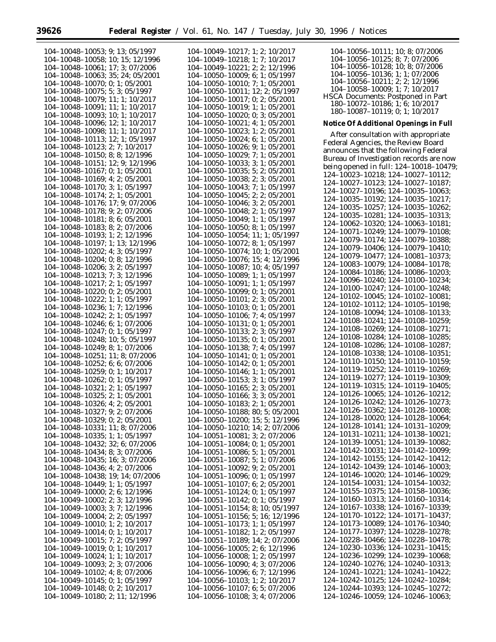п

| 104-10048-10053; 9; 13; 05/1997       | 104-10049-10217; 1; 2; 10/2017        | 104-10056-10111; 10; 8; 07/2006                 |
|---------------------------------------|---------------------------------------|-------------------------------------------------|
| 104-10048-10058; 10; 15; 12/1996      | 104-10049-10218; 1; 7; 10/2017        | 104-10056-10125; 8; 7; 07/2006                  |
| 104-10048-10061; 17; 3; 07/2006       | $104-10049-10221$ ; 2; 2; 12/1996     | 104-10056-10128; 10; 8; 07/2006                 |
| 104-10048-10063; 35; 24; 05/2001      | $104-10050-10009$ ; 6; 1; 05/1997     | $104-10056-10136$ ; 1; 1; 07/2006               |
| $104-10048-10070$ ; 0; 1; 05/2001     | $104-10050-10010$ ; 7; 1; 05/2001     | $104-10056-10211$ ; 2; 2; 12/1996               |
| $104 - 10048 - 10075$ ; 5; 3; 05/1997 | $104-10050-10011$ ; 12; 2; 05/1997    | $104-10058-10009; 1; 7; 10/2017$                |
|                                       |                                       | <b>HSCA Documents: Postponed in Part</b>        |
| $104-10048-10079$ ; 11; 1; 10/2017    | $104-10050-10017$ ; 0; 2; 05/2001     | 180-10072-10186; 1; 6; 10/2017                  |
| $104-10048-10091$ ; 11; 1; 10/2017    | 104-10050-10019; 1; 1; 05/2001        | 180-10087-10119; 0; 1; 10/2017                  |
| $104-10048-10093$ ; 10; 1; 10/2017    | $104-10050-10020$ ; 0; 3; 05/2001     |                                                 |
| $104-10048-10096$ ; 12; 1; 10/2017    | $104-10050-10021$ ; 4; 1; 05/2001     | Notice Of Additional Openings in Full           |
| $104-10048-10098$ ; 11; 1; 10/2017    | $104-10050-10023$ ; 1; 2; 05/2001     | After consultation with appropriate             |
| 104-10048-10113; 12; 1; 05/1997       | $104-10050-10024$ ; 6; 1; 05/2001     | Federal Agencies, the Review Board              |
| 104-10048-10123; 2; 7; 10/2017        | $104-10050-10026$ ; 9; 1; 05/2001     | announces that the following Federal            |
| $104-10048-10150$ ; 8; 8; 12/1996     | $104-10050-10029$ ; 7; 1; 05/2001     |                                                 |
| 104-10048-10151; 12; 9; 12/1996       | $104-10050-10033$ ; 3; 1; 05/2001     | Bureau of Investigation records are now         |
| $104-10048-10167$ ; 0; 1; 05/2001     | $104-10050-10035$ ; 5; 2; 05/2001     | being opened in full: 124-10018-10479;          |
| $104-10048-10169$ ; 4; 2; 05/2001     | $104-10050-10038$ ; 2; 3; 05/2001     | 124-10023-10218; 124-10027-10112;               |
| $104-10048-10170$ ; 3; 1; 05/1997     | $104-10050-10043$ ; 7; 1; 05/1997     | 124-10027-10123; 124-10027-10187;               |
| $104-10048-10174$ ; 2; 1; 05/2001     | $104-10050-10045; 2; 2; 05/2001$      | 124-10027-10196; 124-10035-10063;               |
| 104-10048-10176; 17; 9; 07/2006       | $104-10050-10046$ ; 3; 2; 05/2001     | $124-10035-10192$ ; $124-10035-10217$ ;         |
|                                       |                                       | 124-10035-10257; 124-10035-10262;               |
| $104-10048-10178$ ; 9; 2; 07/2006     | $104-10050-10048$ ; 2; 1; 05/1997     | 124-10035-10281; 124-10035-10313;               |
| $104-10048-10181$ ; 8; 6; 05/2001     | $104-10050-10049$ ; 1; 1; 05/1997     | 124-10062-10320; 124-10063-10181;               |
| 104-10048-10183; 8; 2; 07/2006        | $104-10050-10050$ ; 8; 1; 05/1997     | 124-10071-10249; 124-10079-10108;               |
| 104-10048-10193; 1; 2; 12/1996        | 104-10050-10054; 11; 1; 05/1997       | 124-10079-10174; 124-10079-10388;               |
| 104-10048-10197; 1; 13; 12/1996       | $104-10050-10072$ ; 8; 1; 05/1997     |                                                 |
| 104-10048-10202; 4; 3; 05/1997        | $104-10050-10074$ ; 10; 1; 05/2001    | 124-10079-10406; 124-10079-10410;               |
| 104-10048-10204; 0; 8; 12/1996        | $104-10050-10076$ ; 15; 4; 12/1996    | 124-10079-10477; 124-10081-10373;               |
| $104-10048-10206$ ; 3; 2; 05/1997     | 104-10050-10087; 10; 4; 05/1997       | 124-10083-10079; 124-10084-10178;               |
| 104-10048-10213; 7; 3; 12/1996        | $104-10050-10089; 1; 1; 05/1997$      | 124-10084-10186; 124-10086-10203;               |
| $104-10048-10217$ ; 2; 1; 05/1997     | $104-10050-10091$ ; 1; 1; 05/1997     | 124-10096-10240; 124-10100-10234;               |
| $104-10048-10220$ ; 0; 2; 05/2001     | $104-10050-10099; 0; 1; 05/2001$      | 124-10100-10247; 124-10100-10248;               |
| $104-10048-10222$ ; 1; 1; 05/1997     | $104-10050-10101; 2; 3; 05/2001$      | 124-10102-10045; 124-10102-10081;               |
| 104-10048-10236; 1; 7; 12/1996        | $104-10050-10103$ ; 0; 1; 05/2001     | 124-10102-10112; 124-10105-10198;               |
|                                       |                                       | 124-10108-10094; 124-10108-10133;               |
| $104-10048-10242$ ; 2; 1; 05/1997     | $104-10050-10106$ ; 7; 4; 05/1997     | 124-10108-10241; 124-10108-10259;               |
| $104-10048-10246$ ; 6; 1; 07/2006     | $104-10050-10131; 0; 1; 05/2001$      | $124 - 10108 - 10269$ ; $124 - 10108 - 10271$ ; |
| $104-10048-10247$ ; 0; 1; 05/1997     | 104-10050-10133; 2; 3; 05/1997        | 124-10108-10284; 124-10108-10285;               |
| $104-10048-10248$ ; 10; 5; 05/1997    | $104-10050-10135$ ; 0; 1; 05/2001     | 124-10108-10286; 124-10108-10287;               |
| $104-10048-10249$ ; 8; 1; 07/2006     | $104-10050-10138$ ; 7; 4; 05/1997     | 124-10108-10338; 124-10108-10351;               |
| 104-10048-10251; 11; 8; 07/2006       | $104-10050-10141; 0; 1; 05/2001$      | $124-10110-10150$ ; $124-10110-10159$ ;         |
| $104-10048-10252$ ; 6; 6; 07/2006     | $104-10050-10142$ ; 0; 1; 05/2001     |                                                 |
| $104-10048-10259$ ; 0; 1; 10/2017     | $104-10050-10146$ ; 1; 1; 05/2001     | 124-10119-10252; 124-10119-10269;               |
| $104-10048-10262; 0; 1; 05/1997$      | $104-10050-10153$ ; 3; 1; 05/1997     | 124-10119-10277; 124-10119-10309;               |
| $104 - 10048 - 10321$ ; 2; 1; 05/1997 | $104-10050-10165; 2; 3; 05/2001$      | 124-10119-10315; 124-10119-10405;               |
| 104-10048-10325; 2; 1; 05/2001        | 104-10050-10166; 3; 3; 05/2001        | 124-10126-10065; 124-10126-10212;               |
| $104-10048-10326$ ; 4; 2; 05/2001     | $104-10050-10183; 2; 1; 05/2001$      | 124-10126-10242; 124-10126-10273;               |
| 104-10048-10327; 9; 2; 07/2006        | 104-10050-10188; 80; 5; 05/2001       | 124-10126-10362; 124-10128-10008;               |
| $104-10048-10329; 0; 2; 05/2001$      | $104-10050-10200$ ; 15; 5; 12/1996    | 124-10128-10020; 124-10128-10064;               |
| 104-10048-10331; 11; 8; 07/2006       | $104-10050-10210$ ; 14; 2; 07/2006    | 124-10128-10141; 124-10131-10209;               |
| $104-10048-10335$ ; 1; 1; 05/1997     | $104-10051-10081$ ; 3; 2; 07/2006     | 124-10131-10211; 124-10138-10021;               |
| 104-10048-10432; 32; 6; 07/2006       | $104-10051-10084$ ; 0; 1; 05/2001     | 124-10139-10051; 124-10139-10082;               |
| 104-10048-10434; 8; 3; 07/2006        | $104-10051-10086$ ; 5; 1; 05/2001     | 124-10142-10031; 124-10142-10099;               |
| 104-10048-10435; 16; 3; 07/2006       | $104 - 10051 - 10087$ ; 5; 1; 07/2006 | 124-10142-10155; 124-10142-10412;               |
|                                       | $104-10051-10092$ ; 9; 2; 05/2001     | 124-10142-10439; 124-10146-10003;               |
| $104-10048-10436$ ; 4; 2; 07/2006     |                                       | 124-10146-10020; 124-10146-10029;               |
| 104-10048-10438; 19; 14; 07/2006      | $104-10051-10096$ ; 0; 1; 05/1997     | 124-10154-10031; 124-10154-10032;               |
| $104-10048-10449$ ; 1; 1; 05/1997     | $104-10051-10107$ ; 6; 2; 05/2001     |                                                 |
| 104-10049-10000; 2; 6; 12/1996        | $104-10051-10124$ ; 0; 1; 05/1997     | 124-10155-10375; 124-10158-10036;               |
| $104-10049-10002$ ; 2; 3; 12/1996     | $104-10051-10142$ ; 0; 1; 05/1997     | 124-10160-10313; 124-10160-10314;               |
| $104-10049-10003$ ; 3; 7; 12/1996     | 104-10051-10154; 8; 10; 05/1997       | 124-10167-10338; 124-10167-10339;               |
| $104-10049-10004$ ; 2; 2; 05/1997     | $104-10051-10156$ ; 5; 16; 12/1996    | 124-10170-10122; 124-10171-10437;               |
| $104-10049-10010$ ; 1; 2; 10/2017     | $104-10051-10173$ ; 1; 1; 05/1997     | 124-10173-10089; 124-10176-10340;               |
| $104-10049-10014$ ; 0; 1; 10/2017     | $104-10051-10182$ ; 1; 2; 05/1997     | 124-10177-10397; 124-10228-10278;               |
| $104-10049-10015$ ; 7; 2; 05/1997     | $104-10051-10189$ ; 14; 2; 07/2006    | 124-10228-10466; 124-10228-10478;               |
| 104-10049-10019; 0; 1; 10/2017        | $104-10056-10005$ ; 2; 6; 12/1996     | $124-10230-10336$ ; $124-10231-10415$ ;         |
| $104-10049-10024$ ; 1; 1; 10/2017     | $104-10056-10008$ ; 1; 2; 05/1997     | 124-10236-10299; 124-10239-10068;               |
| $104-10049-10093$ ; 2; 3; 07/2006     | $104-10056-10090$ ; 4; 3; 07/2006     | 124-10240-10276; 124-10240-10313;               |
| $104-10049-10102$ ; 4; 8; 07/2006     | $104-10056-10096$ ; 6; 7; 12/1996     | 124-10241-10221; 124-10241-10422;               |
| $104-10049-10145$ ; 0; 1; 05/1997     | $104-10056-10103$ ; 1; 2; 10/2017     | 124-10242-10125; 124-10242-10284;               |
| $104-10049-10148$ ; 0; 2; 10/2017     | $104-10056-10107$ ; 6; 5; 07/2006     | 124-10244-10393; 124-10245-10272;               |
| 104-10049-10180; 2; 11; 12/1996       | 104-10056-10108; 3; 4; 07/2006        | 124-10246-10059; 124-10246-10063;               |
|                                       |                                       |                                                 |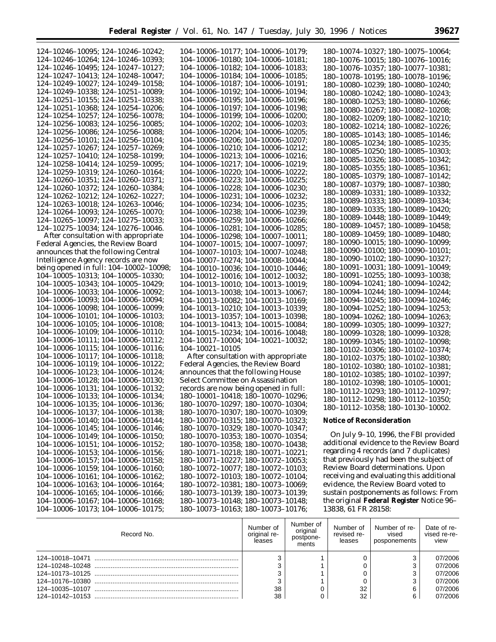| 124-10246-10095; 124-10246-10242;                                      | $104-10006-10177$ ; $104-10006-10179$ ; | 180-10074-10327; 180-10075-10064;        |
|------------------------------------------------------------------------|-----------------------------------------|------------------------------------------|
| 124-10246-10264; 124-10246-10393;                                      | $104-10006-10180; 104-10006-10181;$     | 180-10076-10015; 180-10076-10016;        |
| 124-10246-10495; 124-10247-10127;                                      | $104-10006-10182$ ; $104-10006-10183$ ; | 180-10076-10357; 180-10077-10381;        |
| 124-10247-10413; 124-10248-10047;                                      | 104-10006-10184; 104-10006-10185;       | 180-10078-10195; 180-10078-10196;        |
| 124-10249-10027; 124-10249-10158;                                      | $104-10006-10187; 104-10006-10191;$     | 180-10080-10239; 180-10080-10240;        |
| 124-10249-10338; 124-10251-10089;                                      | $104-10006-10192$ ; $104-10006-10194$ ; |                                          |
| 124-10251-10155; 124-10251-10338;                                      | $104-10006-10195$ ; $104-10006-10196$ ; | 180-10080-10242; 180-10080-10243;        |
| 124-10251-10368; 124-10254-10206;                                      |                                         | 180-10080-10253; 180-10080-10266;        |
|                                                                        | 104-10006-10197; 104-10006-10198;       | 180-10080-10267; 180-10082-10208;        |
| 124-10254-10257; 124-10256-10078;<br>124-10256-10083; 124-10256-10085; | $104-10006-10199; 104-10006-10200;$     | 180-10082-10209; 180-10082-10210;        |
|                                                                        | $104-10006-10202$ ; $104-10006-10203$ ; | 180-10082-10214; 180-10082-10226;        |
| 124-10256-10086; 124-10256-10088;                                      | 104-10006-10204; 104-10006-10205;       | 180-10085-10143; 180-10085-10146;        |
| 124–10256–10101; 124–10256–10104;                                      | $104-10006-10206$ ; $104-10006-10207$ ; | 180-10085-10234; 180-10085-10235;        |
| 124-10257-10267; 124-10257-10269;                                      | 104-10006-10210; 104-10006-10212;       | 180-10085-10250; 180-10085-10303;        |
| 124-10257-10410; 124-10258-10199;                                      | 104-10006-10213; 104-10006-10216;       | 180-10085-10326; 180-10085-10342;        |
| 124-10258-10414; 124-10259-10095;                                      | $104-10006-10217$ ; $104-10006-10219$ ; | $180-10085-10355$ ; $180-10085-10361$ ;  |
| 124-10259-10319; 124-10260-10164;                                      | $104-10006-10220$ ; $104-10006-10222$ ; | 180-10085-10379; 180-10087-10142;        |
| 124–10260–10351; 124–10260–10371;                                      | $104-10006-10223$ ; $104-10006-10225$ ; | 180-10087-10379; 180-10087-10380;        |
| 124-10260-10372; 124-10260-10384;                                      | $104-10006-10228$ ; $104-10006-10230$ ; | 180-10089-10331; 180-10089-10332;        |
| 124-10262-10212; 124-10262-10227;                                      | $104-10006-10231$ ; $104-10006-10232$ ; | 180-10089-10333; 180-10089-10334;        |
| 124-10263-10018; 124-10263-10046;                                      | 104-10006-10234; 104-10006-10235;       | 180–10089–10335; 180–10089–10420;        |
| 124-10264-10093; 124-10265-10070;                                      | 104-10006-10238; 104-10006-10239;       |                                          |
| 124-10265-10097; 124-10275-10033;                                      | 104-10006-10259; 104-10006-10266;       | 180-10089-10448; 180-10089-10449;        |
| 124-10275-10034; 124-10276-10046.                                      | 104-10006-10281; 104-10006-10285;       | 180-10089-10457; 180-10089-10458;        |
| After consultation with appropriate                                    | $104-10006-10298$ ; $104-10007-10011$ ; | 180-10089-10459; 180-10089-10480;        |
| Federal Agencies, the Review Board                                     | 104-10007-10015; 104-10007-10097;       | 180-10090-10015; 180-10090-10099;        |
| announces that the following Central                                   | 104-10007-10103; 104-10007-10248;       | 180-10090-10100; 180-10090-10101;        |
| Intelligence Agency records are now                                    | 104-10007-10274; 104-10008-10044;       | 180-10090-10102; 180-10090-10327;        |
| being opened in full: 104–10002–10098;                                 | $104-10010-10036$ ; $104-10010-10446$ ; | 180-10091-10031; 180-10091-10049;        |
| 104-10005-10313; 104-10005-10330;                                      | $104-10012-10016$ ; $104-10012-10032$ ; | 180-10091-10255; 180-10093-10038;        |
| 104-10005-10343; 104-10005-10429;                                      | $104-10013-10010$ ; $104-10013-10019$ ; | 180-10094-10241; 180-10094-10242;        |
| 104-10006-10033; 104-10006-10092;                                      | $104-10013-10038$ ; $104-10013-10067$ ; | 180–10094–10244; 180–10094–10244;        |
| 104-10006-10093; 104-10006-10094;                                      | $104-10013-10082$ ; $104-10013-10169$ ; | 180-10094-10245; 180-10094-10246;        |
| 104-10006-10098; 104-10006-10099;                                      | 104-10013-10210; 104-10013-10339;       | 180-10094-10252; 180-10094-10253;        |
| 104-10006-10101; 104-10006-10103;                                      | 104-10013-10357; 104-10013-10398;       | 180-10094-10262; 180-10094-10263;        |
| 104-10006-10105; 104-10006-10108;                                      | 104-10013-10413; 104-10015-10084;       | 180-10099-10305; 180-10099-10327;        |
| 104-10006-10109; 104-10006-10110;                                      | 104-10015-10234; 104-10016-10048;       | 180-10099-10328; 180-10099-10328;        |
| 104-10006-10111; 104-10006-10112;                                      | $104-10017-10004$ ; $104-10021-10032$ ; | 180-10099-10345; 180-10102-10098;        |
| 104-10006-10115; 104-10006-10116;                                      | 104-10021-10105                         | 180-10102-10306; 180-10102-10374;        |
| 104-10006-10117; 104-10006-10118;                                      | After consultation with appropriate     | 180-10102-10375; 180-10102-10380;        |
| 104-10006-10119; 104-10006-10122;                                      | Federal Agencies, the Review Board      | 180-10102-10380; 180-10102-10381;        |
| 104-10006-10123; 104-10006-10124;                                      | announces that the following House      | 180-10102-10385; 180-10102-10397;        |
| 104-10006-10128; 104-10006-10130;                                      | Select Committee on Assassination       | 180-10102-10398; 180-10105-10001;        |
| 104-10006-10131; 104-10006-10132;                                      | records are now being opened in full:   | 180-10112-10293; 180-10112-10297;        |
| 104-10006-10133; 104-10006-10134;                                      | 180-10001-10418; 180-10070-10296;       | 180-10112-10298; 180-10112-10350;        |
| 104-10006-10135; 104-10006-10136;                                      | 180-10070-10297; 180-10070-10304;       | 180-10112-10358; 180-10130-10002.        |
| 104-10006-10137; 104-10006-10138;                                      | 180-10070-10307; 180-10070-10309;       |                                          |
| 104-10006-10140; 104-10006-10144;                                      | 180-10070-10315; 180-10070-10323;       | Notice of Reconsideration                |
| 104-10006-10145; 104-10006-10146;                                      | 180-10070-10329; 180-10070-10347;       |                                          |
| 104-10006-10149; 104-10006-10150;                                      | 180-10070-10353; 180-10070-10354;       | On July 9–10, 1996, the FBI provided     |
| 104-10006-10151; 104-10006-10152;                                      | 180-10070-10358; 180-10070-10438;       | additional evidence to the Review Board  |
| 104-10006-10153; 104-10006-10156;                                      | $180-10071-10218$ ; $180-10071-10221$ ; | regarding 4 records (and 7 duplicates)   |
| 104-10006-10157; 104-10006-10158;                                      | 180-10071-10227; 180-10072-10053;       | that previously had been the subject of  |
| 104-10006-10159; 104-10006-10160;                                      | 180-10072-10077; 180-10072-10103;       | Review Board determinations. Upon        |
| 104-10006-10161; 104-10006-10162;                                      | $180-10072-10103$ ; $180-10072-10104$ ; | receiving and evaluating this additional |
| 104-10006-10163; 104-10006-10164;                                      | 180-10072-10381; 180-10073-10069;       | evidence, the Review Board voted to      |
| 104-10006-10165; 104-10006-10166;                                      | 180-10073-10139; 180-10073-10139;       | sustain postponements as follows: From   |
| 104-10006-10167; 104-10006-10168;                                      | 180-10073-10148; 180-10073-10148;       | the original Federal Register Notice 96- |
| 104-10006-10173; 104-10006-10175;                                      | 180-10073-10163; 180-10073-10176;       | 13838, 61 FR 28158:                      |

| Record No. | Number of<br>original re-<br>leases | Number of<br>original<br>postpone-<br>ments | Number of<br>revised re-<br>leases | Number of re-<br>vised<br>posponements | Date of re-<br>vised re-re-<br>view |
|------------|-------------------------------------|---------------------------------------------|------------------------------------|----------------------------------------|-------------------------------------|
|            |                                     |                                             |                                    |                                        | 07/2006                             |
|            |                                     |                                             |                                    |                                        | 07/2006                             |
|            |                                     |                                             |                                    |                                        | 07/2006                             |
|            |                                     |                                             |                                    |                                        | 07/2006                             |
|            | 38                                  |                                             | 32                                 |                                        | 07/2006                             |
|            | 38                                  |                                             | 32                                 |                                        | 07/2006                             |